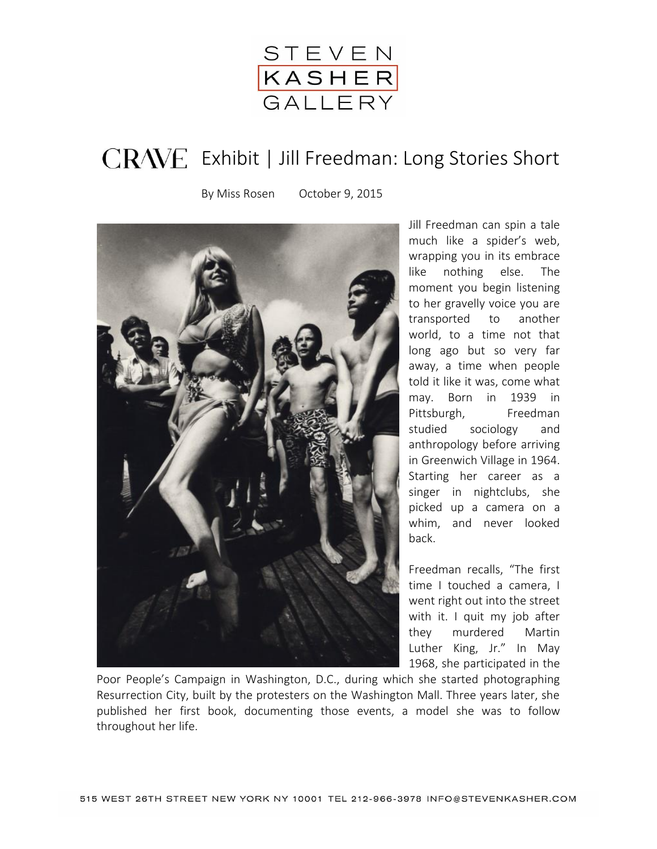

## CRAVE Exhibit | Jill Freedman: Long Stories Short

By Miss Rosen October 9, 2015



Jill Freedman can spin a tale much like a spider's web, wrapping you in its embrace like nothing else. The moment you begin listening to her gravelly voice you are transported to another world, to a time not that long ago but so very far away, a time when people told it like it was, come what may. Born in 1939 in Pittsburgh, Freedman studied sociology and anthropology before arriving in Greenwich Village in 1964. Starting her career as a singer in nightclubs, she picked up a camera on a whim, and never looked back.

Freedman recalls, "The first time I touched a camera, I went right out into the street with it. I quit my job after they murdered Martin Luther King, Jr." In May 1968, she participated in the

Poor People's Campaign in Washington, D.C., during which she started photographing Resurrection City, built by the protesters on the Washington Mall. Three years later, she published her first book, documenting those events, a model she was to follow throughout her life.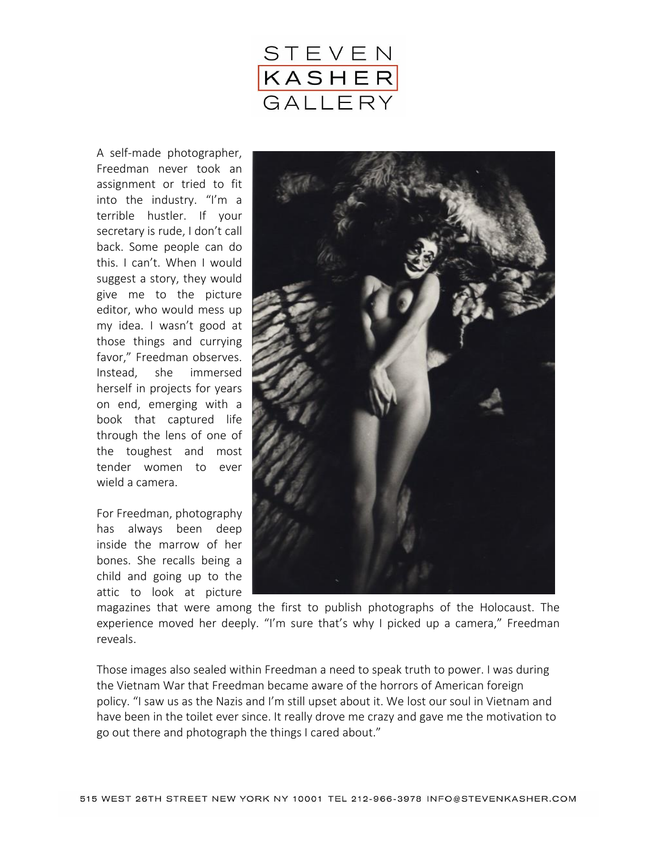

A self-made photographer, Freedman never took an assignment or tried to fit into the industry. "I'm a terrible hustler. If your secretary is rude, I don't call back. Some people can do this. I can't. When I would suggest a story, they would give me to the picture editor, who would mess up my idea. I wasn't good at those things and currying favor," Freedman observes. Instead, she immersed herself in projects for years on end, emerging with a book that captured life through the lens of one of the toughest and most tender women to ever wield a camera.

For Freedman, photography has always been deep inside the marrow of her bones. She recalls being a child and going up to the attic to look at picture



magazines that were among the first to publish photographs of the Holocaust. The experience moved her deeply. "I'm sure that's why I picked up a camera," Freedman reveals.

Those images also sealed within Freedman a need to speak truth to power. I was during the Vietnam War that Freedman became aware of the horrors of American foreign policy. "I saw us as the Nazis and I'm still upset about it. We lost our soul in Vietnam and have been in the toilet ever since. It really drove me crazy and gave me the motivation to go out there and photograph the things I cared about."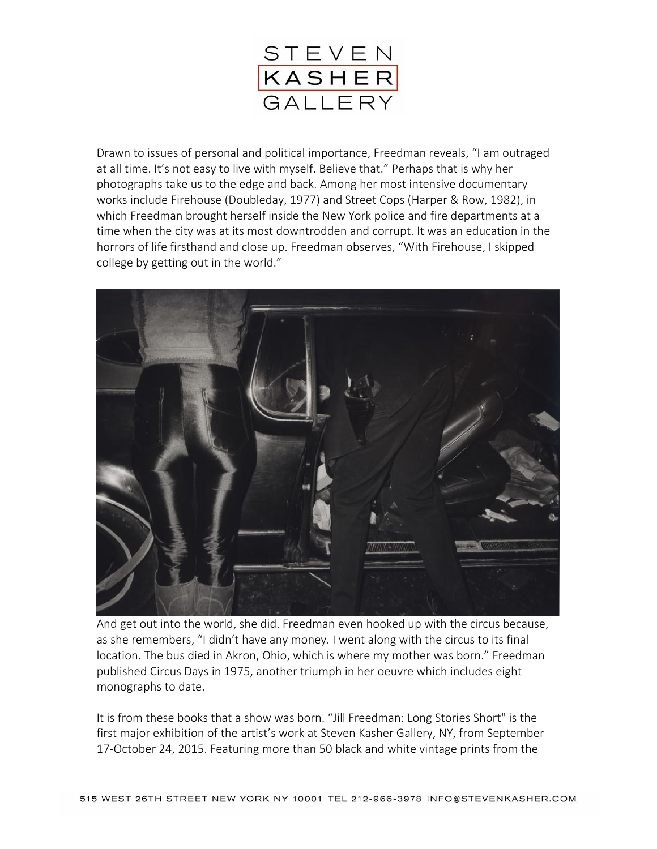

Drawn to issues of personal and political importance, Freedman reveals, "I am outraged at all time. It's not easy to live with myself. Believe that." Perhaps that is why her photographs take us to the edge and back. Among her most intensive documentary works include Firehouse (Doubleday, 1977) and Street Cops (Harper & Row, 1982), in which Freedman brought herself inside the New York police and fire departments at a time when the city was at its most downtrodden and corrupt. It was an education in the horrors of life firsthand and close up. Freedman observes, "With Firehouse, I skipped college by getting out in the world."



And get out into the world, she did. Freedman even hooked up with the circus because, as she remembers, "I didn't have any money. I went along with the circus to its final location. The bus died in Akron, Ohio, which is where my mother was born." Freedman published Circus Days in 1975, another triumph in her oeuvre which includes eight monographs to date.

It is from these books that a show was born. "Jill Freedman: Long Stories Short" is the first major exhibition of the artist's work at Steven Kasher Gallery, NY, from September 17-October 24, 2015. Featuring more than 50 black and white vintage prints from the